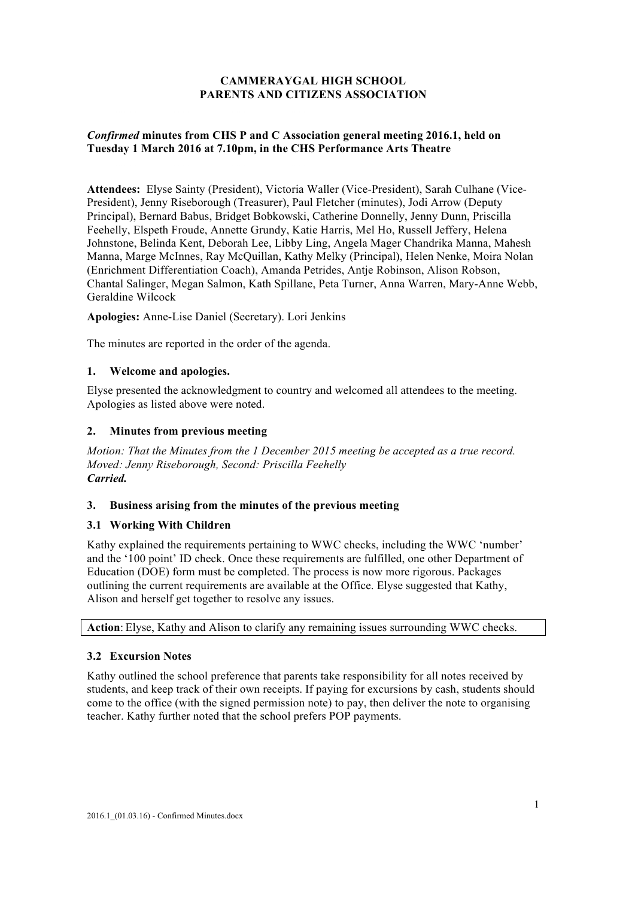# **CAMMERAYGAL HIGH SCHOOL PARENTS AND CITIZENS ASSOCIATION**

## *Confirmed* **minutes from CHS P and C Association general meeting 2016.1, held on Tuesday 1 March 2016 at 7.10pm, in the CHS Performance Arts Theatre**

**Attendees:** Elyse Sainty (President), Victoria Waller (Vice-President), Sarah Culhane (Vice-President), Jenny Riseborough (Treasurer), Paul Fletcher (minutes), Jodi Arrow (Deputy Principal), Bernard Babus, Bridget Bobkowski, Catherine Donnelly, Jenny Dunn, Priscilla Feehelly, Elspeth Froude, Annette Grundy, Katie Harris, Mel Ho, Russell Jeffery, Helena Johnstone, Belinda Kent, Deborah Lee, Libby Ling, Angela Mager Chandrika Manna, Mahesh Manna, Marge McInnes, Ray McQuillan, Kathy Melky (Principal), Helen Nenke, Moira Nolan (Enrichment Differentiation Coach), Amanda Petrides, Antje Robinson, Alison Robson, Chantal Salinger, Megan Salmon, Kath Spillane, Peta Turner, Anna Warren, Mary-Anne Webb, Geraldine Wilcock

**Apologies:** Anne-Lise Daniel (Secretary). Lori Jenkins

The minutes are reported in the order of the agenda.

## **1. Welcome and apologies.**

Elyse presented the acknowledgment to country and welcomed all attendees to the meeting. Apologies as listed above were noted.

## **2. Minutes from previous meeting**

*Motion: That the Minutes from the 1 December 2015 meeting be accepted as a true record. Moved: Jenny Riseborough, Second: Priscilla Feehelly Carried.*

#### **3. Business arising from the minutes of the previous meeting**

# **3.1 Working With Children**

Kathy explained the requirements pertaining to WWC checks, including the WWC 'number' and the '100 point' ID check. Once these requirements are fulfilled, one other Department of Education (DOE) form must be completed. The process is now more rigorous. Packages outlining the current requirements are available at the Office. Elyse suggested that Kathy, Alison and herself get together to resolve any issues.

**Action**: Elyse, Kathy and Alison to clarify any remaining issues surrounding WWC checks.

# **3.2 Excursion Notes**

Kathy outlined the school preference that parents take responsibility for all notes received by students, and keep track of their own receipts. If paying for excursions by cash, students should come to the office (with the signed permission note) to pay, then deliver the note to organising teacher. Kathy further noted that the school prefers POP payments.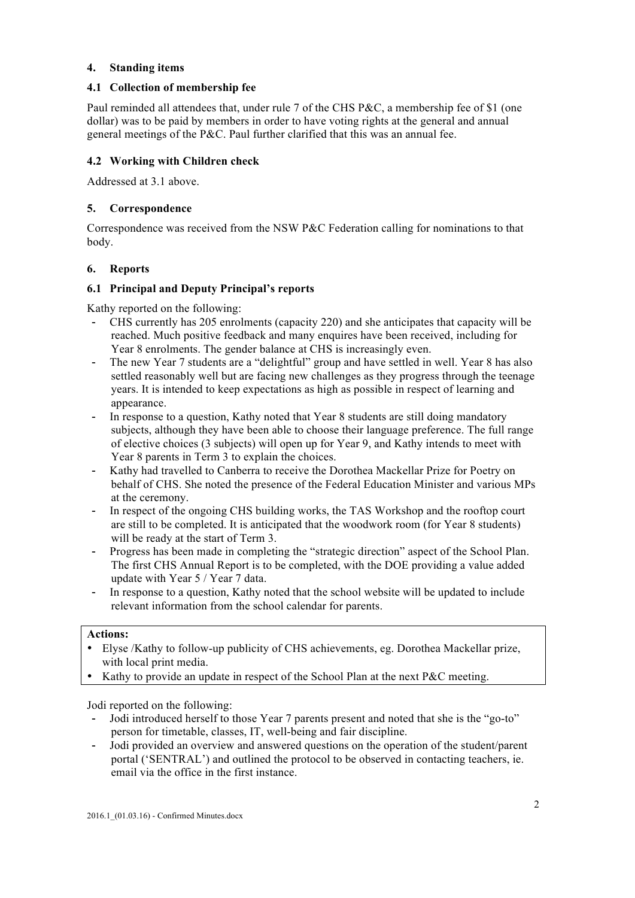### **4. Standing items**

### **4.1 Collection of membership fee**

Paul reminded all attendees that, under rule 7 of the CHS P&C, a membership fee of \$1 (one dollar) was to be paid by members in order to have voting rights at the general and annual general meetings of the P&C. Paul further clarified that this was an annual fee.

# **4.2 Working with Children check**

Addressed at 3.1 above.

## **5. Correspondence**

Correspondence was received from the NSW P&C Federation calling for nominations to that body.

## **6. Reports**

## **6.1 Principal and Deputy Principal's reports**

Kathy reported on the following:

- CHS currently has 205 enrolments (capacity 220) and she anticipates that capacity will be reached. Much positive feedback and many enquires have been received, including for Year 8 enrolments. The gender balance at CHS is increasingly even.
- The new Year 7 students are a "delightful" group and have settled in well. Year 8 has also settled reasonably well but are facing new challenges as they progress through the teenage years. It is intended to keep expectations as high as possible in respect of learning and appearance.
- In response to a question, Kathy noted that Year 8 students are still doing mandatory subjects, although they have been able to choose their language preference. The full range of elective choices (3 subjects) will open up for Year 9, and Kathy intends to meet with Year 8 parents in Term 3 to explain the choices.
- Kathy had travelled to Canberra to receive the Dorothea Mackellar Prize for Poetry on behalf of CHS. She noted the presence of the Federal Education Minister and various MPs at the ceremony.
- In respect of the ongoing CHS building works, the TAS Workshop and the rooftop court are still to be completed. It is anticipated that the woodwork room (for Year 8 students) will be ready at the start of Term 3.
- Progress has been made in completing the "strategic direction" aspect of the School Plan. The first CHS Annual Report is to be completed, with the DOE providing a value added update with Year 5 / Year 7 data.
- In response to a question, Kathy noted that the school website will be updated to include relevant information from the school calendar for parents.

#### **Actions:**

- Elyse /Kathy to follow-up publicity of CHS achievements, eg. Dorothea Mackellar prize, with local print media.
- Kathy to provide an update in respect of the School Plan at the next P&C meeting.

Jodi reported on the following:

- Jodi introduced herself to those Year 7 parents present and noted that she is the "go-to" person for timetable, classes, IT, well-being and fair discipline.
- Jodi provided an overview and answered questions on the operation of the student/parent portal ('SENTRAL') and outlined the protocol to be observed in contacting teachers, ie. email via the office in the first instance.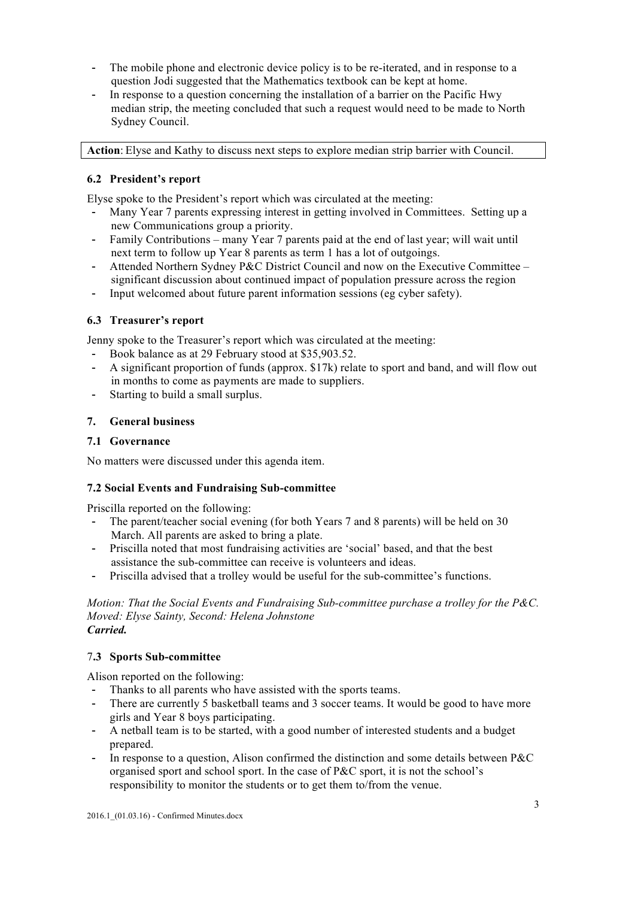- The mobile phone and electronic device policy is to be re-iterated, and in response to a question Jodi suggested that the Mathematics textbook can be kept at home.
- In response to a question concerning the installation of a barrier on the Pacific Hwy median strip, the meeting concluded that such a request would need to be made to North Sydney Council.

**Action**: Elyse and Kathy to discuss next steps to explore median strip barrier with Council.

## **6.2 President's report**

Elyse spoke to the President's report which was circulated at the meeting:

- Many Year 7 parents expressing interest in getting involved in Committees. Setting up a new Communications group a priority.
- Family Contributions many Year 7 parents paid at the end of last year; will wait until next term to follow up Year 8 parents as term 1 has a lot of outgoings.
- Attended Northern Sydney P&C District Council and now on the Executive Committee significant discussion about continued impact of population pressure across the region
- Input welcomed about future parent information sessions (eg cyber safety).

#### **6.3 Treasurer's report**

Jenny spoke to the Treasurer's report which was circulated at the meeting:

- Book balance as at 29 February stood at \$35,903.52.
- A significant proportion of funds (approx. \$17k) relate to sport and band, and will flow out in months to come as payments are made to suppliers.
- Starting to build a small surplus.

#### **7. General business**

#### **7.1 Governance**

No matters were discussed under this agenda item.

#### **7.2 Social Events and Fundraising Sub-committee**

Priscilla reported on the following:

- The parent/teacher social evening (for both Years 7 and 8 parents) will be held on 30 March. All parents are asked to bring a plate.
- Priscilla noted that most fundraising activities are 'social' based, and that the best assistance the sub-committee can receive is volunteers and ideas.
- Priscilla advised that a trolley would be useful for the sub-committee's functions.

*Motion: That the Social Events and Fundraising Sub-committee purchase a trolley for the P&C. Moved: Elyse Sainty, Second: Helena Johnstone Carried.*

#### 7**.3 Sports Sub-committee**

Alison reported on the following:

- Thanks to all parents who have assisted with the sports teams.
- There are currently 5 basketball teams and 3 soccer teams. It would be good to have more girls and Year 8 boys participating.
- A netball team is to be started, with a good number of interested students and a budget prepared.
- In response to a question, Alison confirmed the distinction and some details between  $P\&C$ organised sport and school sport. In the case of P&C sport, it is not the school's responsibility to monitor the students or to get them to/from the venue.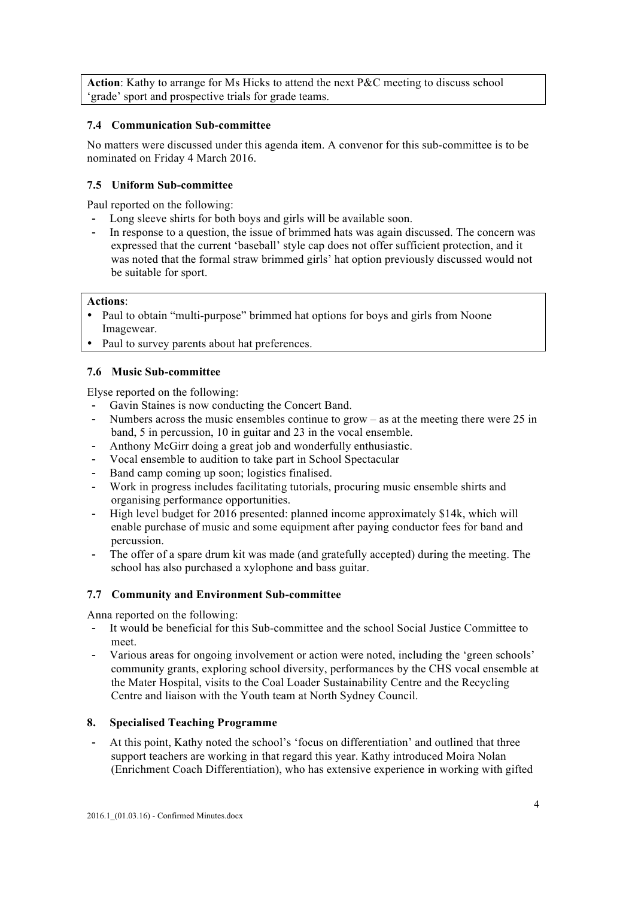**Action**: Kathy to arrange for Ms Hicks to attend the next P&C meeting to discuss school 'grade' sport and prospective trials for grade teams.

### **7.4 Communication Sub-committee**

No matters were discussed under this agenda item. A convenor for this sub-committee is to be nominated on Friday 4 March 2016.

## **7.5 Uniform Sub-committee**

Paul reported on the following:

- Long sleeve shirts for both boys and girls will be available soon.
- In response to a question, the issue of brimmed hats was again discussed. The concern was expressed that the current 'baseball' style cap does not offer sufficient protection, and it was noted that the formal straw brimmed girls' hat option previously discussed would not be suitable for sport.

#### **Actions**:

- Paul to obtain "multi-purpose" brimmed hat options for boys and girls from Noone Imagewear.
- Paul to survey parents about hat preferences.

## **7.6 Music Sub-committee**

Elyse reported on the following:

- Gavin Staines is now conducting the Concert Band.
- Numbers across the music ensembles continue to grow  $-$  as at the meeting there were 25 in band, 5 in percussion, 10 in guitar and 23 in the vocal ensemble.
- Anthony McGirr doing a great job and wonderfully enthusiastic.
- Vocal ensemble to audition to take part in School Spectacular
- Band camp coming up soon; logistics finalised.
- Work in progress includes facilitating tutorials, procuring music ensemble shirts and organising performance opportunities.
- High level budget for 2016 presented: planned income approximately \$14k, which will enable purchase of music and some equipment after paying conductor fees for band and percussion.
- The offer of a spare drum kit was made (and gratefully accepted) during the meeting. The school has also purchased a xylophone and bass guitar.

#### **7.7 Community and Environment Sub-committee**

Anna reported on the following:

- It would be beneficial for this Sub-committee and the school Social Justice Committee to meet.
- Various areas for ongoing involvement or action were noted, including the 'green schools' community grants, exploring school diversity, performances by the CHS vocal ensemble at the Mater Hospital, visits to the Coal Loader Sustainability Centre and the Recycling Centre and liaison with the Youth team at North Sydney Council.

#### **8. Specialised Teaching Programme**

At this point, Kathy noted the school's 'focus on differentiation' and outlined that three support teachers are working in that regard this year. Kathy introduced Moira Nolan (Enrichment Coach Differentiation), who has extensive experience in working with gifted